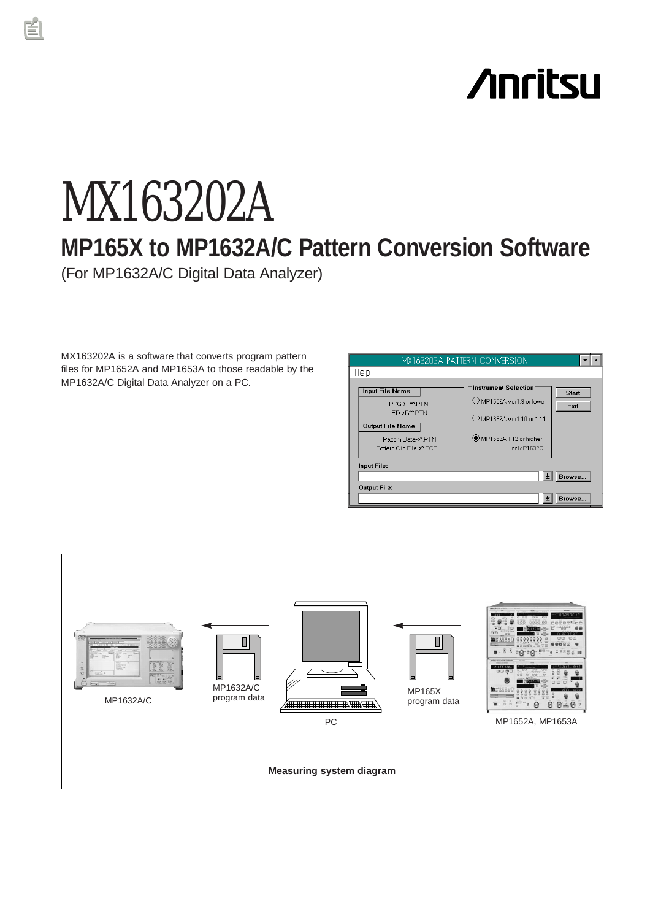# **Anritsu**

## MX163202A **MP165X to MP1632A/C Pattern Conversion Software** (For MP1632A/C Digital Data Analyzer)

MX163202A is a software that converts program pattern files for MP1652A and MP1653A to those readable by the MP1632A/C Digital Data Analyzer on a PC.

| MX163202A PATTERN CONVERSION                                                                                                       |                                                                                                                      |                      |  |  |
|------------------------------------------------------------------------------------------------------------------------------------|----------------------------------------------------------------------------------------------------------------------|----------------------|--|--|
| Help                                                                                                                               |                                                                                                                      |                      |  |  |
| <b>Input File Name</b><br>PPG->T**.PTN<br>ED->R**PTN<br><b>Output File Name</b><br>Pattern Data->*.PTN<br>Pattern Clip File->*.PCP | Instrument Selection<br>MP1632A Ver1.9 or lower<br>O MP1632A Ver1.10 or 1.11<br>MP1632A 1.12 or higher<br>or MP1632C | <b>Start</b><br>Exit |  |  |
| Input File:<br>Browse                                                                                                              |                                                                                                                      |                      |  |  |
| <b>Output File:</b><br>Browse                                                                                                      |                                                                                                                      |                      |  |  |